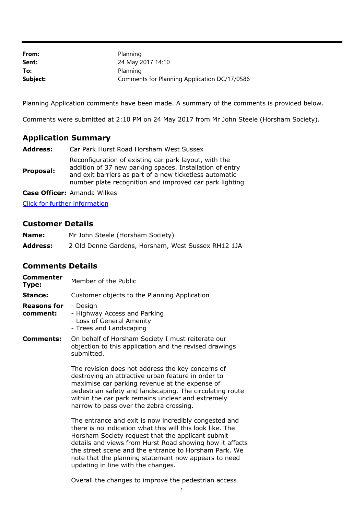| From:    | Planning                                     |
|----------|----------------------------------------------|
| Sent:    | 24 May 2017 14:10                            |
| To:      | Planning                                     |
| Subject: | Comments for Planning Application DC/17/0586 |

Planning Application comments have been made. A summary of the comments is provided below.

Comments were submitted at 2:10 PM on 24 May 2017 from Mr John Steele (Horsham Society).

## **Application Summary**

| <b>Address:</b> | Car Park Hurst Road Horsham West Sussex                                                                                                                                                                                                 |
|-----------------|-----------------------------------------------------------------------------------------------------------------------------------------------------------------------------------------------------------------------------------------|
| Proposal:       | Reconfiguration of existing car park layout, with the<br>addition of 37 new parking spaces. Installation of entry<br>and exit barriers as part of a new ticketless automatic<br>number plate recognition and improved car park lighting |

**Case Officer:** Amanda Wilkes

[Click for further information](https://public-access.horsham.gov.uk/public-access//centralDistribution.do?caseType=Application&keyVal=OMRDUKIJGMS00)

## **Customer Details**

| Name:           | Mr John Steele (Horsham Society)                   |
|-----------------|----------------------------------------------------|
| <b>Address:</b> | 2 Old Denne Gardens, Horsham, West Sussex RH12 1JA |

## **Comments Details**

| Commenter<br>Type:             | Member of the Public                                                                                                                                                                                                                                                                                                                                 |
|--------------------------------|------------------------------------------------------------------------------------------------------------------------------------------------------------------------------------------------------------------------------------------------------------------------------------------------------------------------------------------------------|
| Stance:                        | Customer objects to the Planning Application                                                                                                                                                                                                                                                                                                         |
| <b>Reasons for</b><br>comment: | - Design<br>- Highway Access and Parking<br>- Loss of General Amenity<br>- Trees and Landscaping                                                                                                                                                                                                                                                     |
| Comments:                      | On behalf of Horsham Society I must reiterate our<br>objection to this application and the revised drawings<br>submitted.                                                                                                                                                                                                                            |
|                                | The revision does not address the key concerns of<br>destroying an attractive urban feature in order to<br>maximise car parking revenue at the expense of<br>pedestrian safety and landscaping. The circulating route<br>within the car park remains unclear and extremely<br>narrow to pass over the zebra crossing.                                |
|                                | The entrance and exit is now incredibly congested and<br>there is no indication what this will this look like. The<br>Horsham Society request that the applicant submit<br>details and views from Hurst Road showing how it affects<br>the street scene and the entrance to Horsham Park. We<br>note that the planning statement now appears to need |

updating in line with the changes.

Overall the changes to improve the pedestrian access